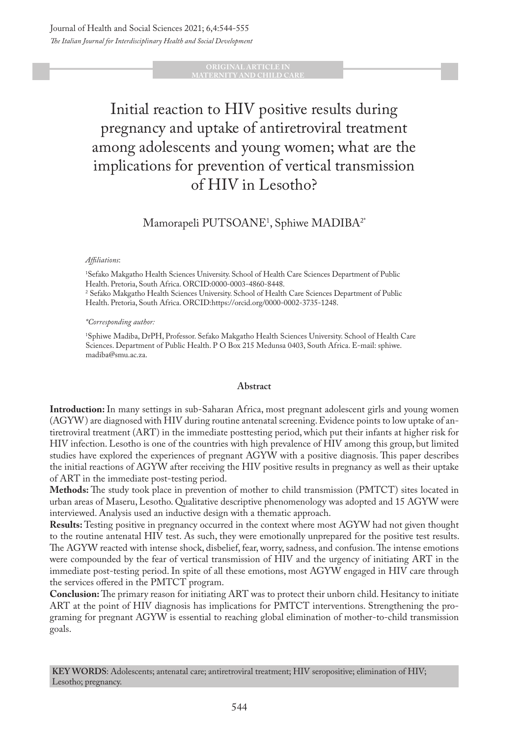#### **ORIGINAL ARTICLE IN TERNITY AND CHILD C**

# Initial reaction to HIV positive results during pregnancy and uptake of antiretroviral treatment among adolescents and young women; what are the implications for prevention of vertical transmission of HIV in Lesotho?

# $\rm M$ amorapeli  $\rm PUTSOANE^1,$  Sphiwe  $\rm MADIBA^{2*}$

#### *Affiliations*:

1 Sefako Makgatho Health Sciences University. School of Health Care Sciences Department of Public Health. Pretoria, South Africa. ORCID:0000-0003-4860-8448. 2 Sefako Makgatho Health Sciences University. School of Health Care Sciences Department of Public Health. Pretoria, South Africa. ORCID:https://orcid.org/0000-0002-3735-1248.

#### *\*Corresponding author:*

1 Sphiwe Madiba, DrPH, Professor. Sefako Makgatho Health Sciences University. School of Health Care Sciences. Department of Public Health. P O Box 215 Medunsa 0403, South Africa. E-mail: sphiwe. madiba@smu.ac.za.

#### **Abstract**

**Introduction:** In many settings in sub-Saharan Africa, most pregnant adolescent girls and young women (AGYW) are diagnosed with HIV during routine antenatal screening. Evidence points to low uptake of antiretroviral treatment (ART) in the immediate posttesting period, which put their infants at higher risk for HIV infection. Lesotho is one of the countries with high prevalence of HIV among this group, but limited studies have explored the experiences of pregnant AGYW with a positive diagnosis. This paper describes the initial reactions of AGYW after receiving the HIV positive results in pregnancy as well as their uptake of ART in the immediate post-testing period.

**Methods:** The study took place in prevention of mother to child transmission (PMTCT) sites located in urban areas of Maseru, Lesotho. Qualitative descriptive phenomenology was adopted and 15 AGYW were interviewed. Analysis used an inductive design with a thematic approach.

**Results:** Testing positive in pregnancy occurred in the context where most AGYW had not given thought to the routine antenatal HIV test. As such, they were emotionally unprepared for the positive test results. The AGYW reacted with intense shock, disbelief, fear, worry, sadness, and confusion. The intense emotions were compounded by the fear of vertical transmission of HIV and the urgency of initiating ART in the immediate post-testing period. In spite of all these emotions, most AGYW engaged in HIV care through the services offered in the PMTCT program.

**Conclusion:** The primary reason for initiating ART was to protect their unborn child. Hesitancy to initiate ART at the point of HIV diagnosis has implications for PMTCT interventions. Strengthening the programing for pregnant AGYW is essential to reaching global elimination of mother-to-child transmission goals.

**KEY WORDS**: Adolescents; antenatal care; antiretroviral treatment; HIV seropositive; elimination of HIV; Lesotho; pregnancy.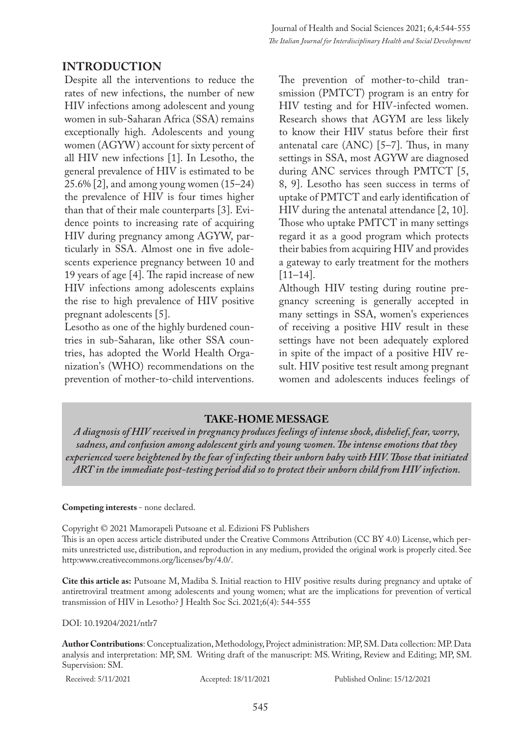# **INTRODUCTION**

Despite all the interventions to reduce the rates of new infections, the number of new HIV infections among adolescent and young women in sub-Saharan Africa (SSA) remains exceptionally high. Adolescents and young women (AGYW) account for sixty percent of all HIV new infections [1]. In Lesotho, the general prevalence of HIV is estimated to be 25.6% [2], and among young women (15–24) the prevalence of HIV is four times higher than that of their male counterparts [3]. Evidence points to increasing rate of acquiring HIV during pregnancy among AGYW, particularly in SSA. Almost one in five adolescents experience pregnancy between 10 and 19 years of age [4]. The rapid increase of new HIV infections among adolescents explains the rise to high prevalence of HIV positive pregnant adolescents [5].

Lesotho as one of the highly burdened countries in sub-Saharan, like other SSA countries, has adopted the World Health Organization's (WHO) recommendations on the prevention of mother-to-child interventions. The prevention of mother-to-child transmission (PMTCT) program is an entry for HIV testing and for HIV-infected women. Research shows that AGYM are less likely to know their HIV status before their first antenatal care (ANC) [5–7]. Thus, in many settings in SSA, most AGYW are diagnosed during ANC services through PMTCT [5, 8, 9]. Lesotho has seen success in terms of uptake of PMTCT and early identification of HIV during the antenatal attendance [2, 10]. Those who uptake PMTCT in many settings regard it as a good program which protects their babies from acquiring HIV and provides a gateway to early treatment for the mothers [11–14].

Although HIV testing during routine pregnancy screening is generally accepted in many settings in SSA, women's experiences of receiving a positive HIV result in these settings have not been adequately explored in spite of the impact of a positive HIV result. HIV positive test result among pregnant women and adolescents induces feelings of

### **TAKE-HOME MESSAGE**

*A diagnosis of HIV received in pregnancy produces feelings of intense shock, disbelief, fear, worry, sadness, and confusion among adolescent girls and young women. The intense emotions that they experienced were heightened by the fear of infecting their unborn baby with HIV. Those that initiated ART in the immediate post-testing period did so to protect their unborn child from HIV infection.* 

#### **Competing interests** - none declared.

Copyright © 2021 Mamorapeli Putsoane et al. Edizioni FS Publishers This is an open access article distributed under the Creative Commons Attribution (CC BY 4.0) License, which permits unrestricted use, distribution, and reproduction in any medium, provided the original work is properly cited. See http:www.creativecommons.org/licenses/by/4.0/.

**Cite this article as:** Putsoane M, Madiba S. Initial reaction to HIV positive results during pregnancy and uptake of antiretroviral treatment among adolescents and young women; what are the implications for prevention of vertical transmission of HIV in Lesotho? J Health Soc Sci. 2021;6(4): 544-555

DOI: 10.19204/2021/ntlr7

**Author Contributions**: Conceptualization, Methodology, Project administration: MP, SM. Data collection: MP. Data analysis and interpretation: MP, SM. Writing draft of the manuscript: MS. Writing, Review and Editing; MP, SM. Supervision: SM.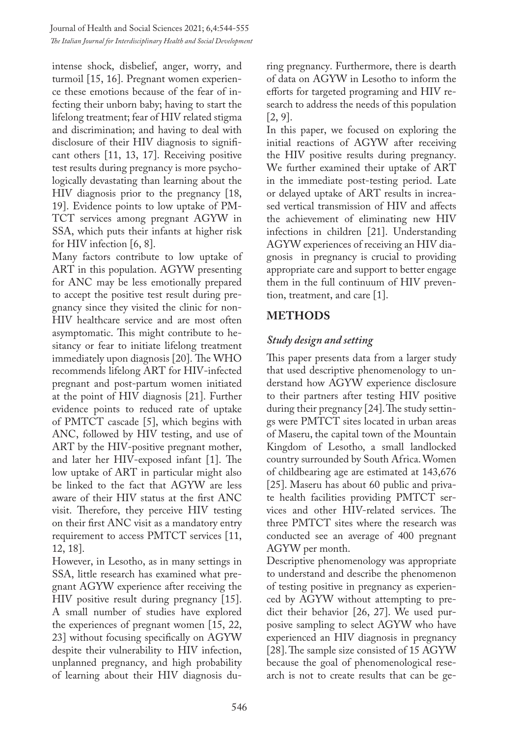intense shock, disbelief, anger, worry, and turmoil [15, 16]. Pregnant women experience these emotions because of the fear of infecting their unborn baby; having to start the lifelong treatment; fear of HIV related stigma and discrimination; and having to deal with disclosure of their HIV diagnosis to significant others [11, 13, 17]. Receiving positive test results during pregnancy is more psychologically devastating than learning about the HIV diagnosis prior to the pregnancy [18, 19]. Evidence points to low uptake of PM-TCT services among pregnant AGYW in SSA, which puts their infants at higher risk for HIV infection [6, 8].

Many factors contribute to low uptake of ART in this population. AGYW presenting for ANC may be less emotionally prepared to accept the positive test result during pregnancy since they visited the clinic for non-HIV healthcare service and are most often asymptomatic. This might contribute to hesitancy or fear to initiate lifelong treatment immediately upon diagnosis [20]. The WHO recommends lifelong ART for HIV-infected pregnant and post-partum women initiated at the point of HIV diagnosis [21]. Further evidence points to reduced rate of uptake of PMTCT cascade [5], which begins with ANC, followed by HIV testing, and use of ART by the HIV-positive pregnant mother, and later her HIV-exposed infant [1]. The low uptake of ART in particular might also be linked to the fact that AGYW are less aware of their HIV status at the first ANC visit. Therefore, they perceive HIV testing on their first ANC visit as a mandatory entry requirement to access PMTCT services [11, 12, 18].

However, in Lesotho, as in many settings in SSA, little research has examined what pregnant AGYW experience after receiving the HIV positive result during pregnancy [15]. A small number of studies have explored the experiences of pregnant women [15, 22, 23] without focusing specifically on AGYW despite their vulnerability to HIV infection, unplanned pregnancy, and high probability of learning about their HIV diagnosis during pregnancy. Furthermore, there is dearth of data on AGYW in Lesotho to inform the efforts for targeted programing and HIV research to address the needs of this population  $[2, 9]$ .

In this paper, we focused on exploring the initial reactions of AGYW after receiving the HIV positive results during pregnancy. We further examined their uptake of ART in the immediate post-testing period. Late or delayed uptake of ART results in increased vertical transmission of HIV and affects the achievement of eliminating new HIV infections in children [21]. Understanding AGYW experiences of receiving an HIV diagnosis in pregnancy is crucial to providing appropriate care and support to better engage them in the full continuum of HIV prevention, treatment, and care [1].

# **METHODS**

# *Study design and setting*

This paper presents data from a larger study that used descriptive phenomenology to understand how AGYW experience disclosure to their partners after testing HIV positive during their pregnancy [24]. The study settings were PMTCT sites located in urban areas of Maseru, the capital town of the Mountain Kingdom of Lesotho, a small landlocked country surrounded by South Africa. Women of childbearing age are estimated at 143,676 [25]. Maseru has about 60 public and private health facilities providing PMTCT services and other HIV-related services. The three PMTCT sites where the research was conducted see an average of 400 pregnant AGYW per month.

Descriptive phenomenology was appropriate to understand and describe the phenomenon of testing positive in pregnancy as experienced by AGYW without attempting to predict their behavior [26, 27]. We used purposive sampling to select AGYW who have experienced an HIV diagnosis in pregnancy [28]. The sample size consisted of 15 AGYW because the goal of phenomenological research is not to create results that can be ge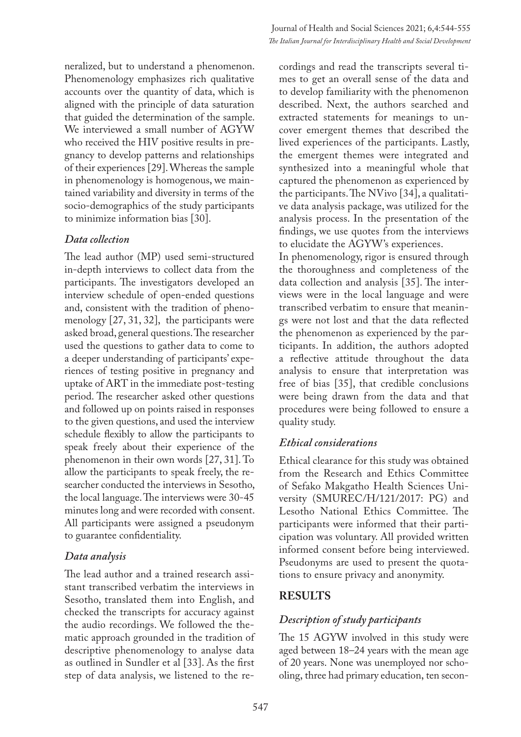neralized, but to understand a phenomenon. Phenomenology emphasizes rich qualitative accounts over the quantity of data, which is aligned with the principle of data saturation that guided the determination of the sample. We interviewed a small number of AGYW who received the HIV positive results in pregnancy to develop patterns and relationships of their experiences [29]. Whereas the sample in phenomenology is homogenous, we maintained variability and diversity in terms of the socio-demographics of the study participants to minimize information bias [30].

# *Data collection*

The lead author (MP) used semi-structured in-depth interviews to collect data from the participants. The investigators developed an interview schedule of open-ended questions and, consistent with the tradition of phenomenology [27, 31, 32], the participants were asked broad, general questions. The researcher used the questions to gather data to come to a deeper understanding of participants' experiences of testing positive in pregnancy and uptake of ART in the immediate post-testing period. The researcher asked other questions and followed up on points raised in responses to the given questions, and used the interview schedule flexibly to allow the participants to speak freely about their experience of the phenomenon in their own words [27, 31]. To allow the participants to speak freely, the researcher conducted the interviews in Sesotho, the local language. The interviews were 30-45 minutes long and were recorded with consent. All participants were assigned a pseudonym to guarantee confidentiality.

# *Data analysis*

The lead author and a trained research assistant transcribed verbatim the interviews in Sesotho, translated them into English, and checked the transcripts for accuracy against the audio recordings. We followed the thematic approach grounded in the tradition of descriptive phenomenology to analyse data as outlined in Sundler et al [33]. As the first step of data analysis, we listened to the re-

cordings and read the transcripts several times to get an overall sense of the data and to develop familiarity with the phenomenon described. Next, the authors searched and extracted statements for meanings to uncover emergent themes that described the lived experiences of the participants. Lastly, the emergent themes were integrated and synthesized into a meaningful whole that captured the phenomenon as experienced by the participants. The NVivo [34], a qualitative data analysis package, was utilized for the analysis process. In the presentation of the findings, we use quotes from the interviews to elucidate the AGYW's experiences.

In phenomenology, rigor is ensured through the thoroughness and completeness of the data collection and analysis [35]. The interviews were in the local language and were transcribed verbatim to ensure that meanings were not lost and that the data reflected the phenomenon as experienced by the participants. In addition, the authors adopted a reflective attitude throughout the data analysis to ensure that interpretation was free of bias [35], that credible conclusions were being drawn from the data and that procedures were being followed to ensure a quality study.

# *Ethical considerations*

Ethical clearance for this study was obtained from the Research and Ethics Committee of Sefako Makgatho Health Sciences University (SMUREC/H/121/2017: PG) and Lesotho National Ethics Committee. The participants were informed that their participation was voluntary. All provided written informed consent before being interviewed. Pseudonyms are used to present the quotations to ensure privacy and anonymity.

# **RESULTS**

# *Description of study participants*

The 15 AGYW involved in this study were aged between 18–24 years with the mean age of 20 years. None was unemployed nor schooling, three had primary education, ten secon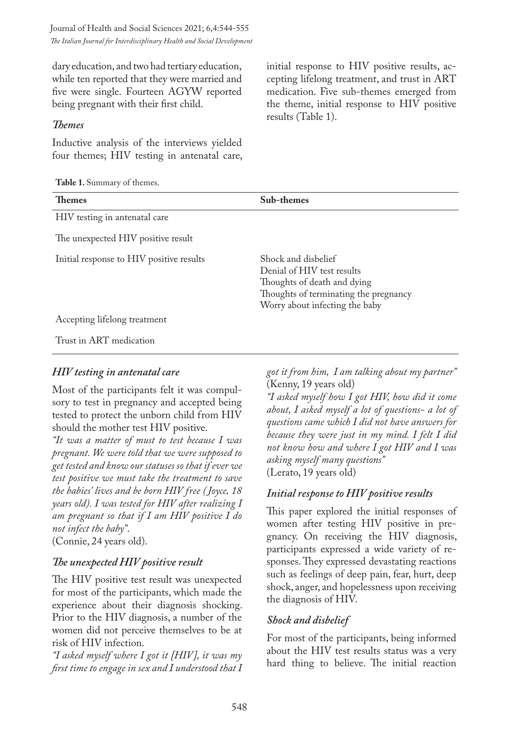Journal of Health and Social Sciences 2021; 6,4:544-555 *The Italian Journal for Interdisciplinary Health and Social Development*

dary education, and two had tertiary education, while ten reported that they were married and five were single. Fourteen AGYW reported being pregnant with their first child.

#### *Themes*

Inductive analysis of the interviews yielded four themes; HIV testing in antenatal care,

**Table 1.** Summary of themes.

initial response to HIV positive results, accepting lifelong treatment, and trust in ART medication. Five sub-themes emerged from the theme, initial response to HIV positive results (Table 1).

| <b>TADIC 1.</b> OUIIIIIIAI V OI UIUIIIUS. |                                                                                                                                                             |
|-------------------------------------------|-------------------------------------------------------------------------------------------------------------------------------------------------------------|
| <b>Themes</b>                             | Sub-themes                                                                                                                                                  |
| HIV testing in antenatal care             |                                                                                                                                                             |
| The unexpected HIV positive result        |                                                                                                                                                             |
| Initial response to HIV positive results  | Shock and disbelief<br>Denial of HIV test results<br>Thoughts of death and dying<br>Thoughts of terminating the pregnancy<br>Worry about infecting the baby |
| Accepting lifelong treatment              |                                                                                                                                                             |
| Trust in ART medication                   |                                                                                                                                                             |

#### *HIV testing in antenatal care*

Most of the participants felt it was compulsory to test in pregnancy and accepted being tested to protect the unborn child from HIV should the mother test HIV positive.

*"It was a matter of must to test because I was pregnant. We were told that we were supposed to get tested and know our statuses so that if ever we test positive we must take the treatment to save the babies' lives and be born HIV free ( Joyce, 18 years old). I was tested for HIV after realizing I am pregnant so that if I am HIV positive I do not infect the baby"*.

(Connie, 24 years old).

#### *The unexpected HIV positive result*

The HIV positive test result was unexpected for most of the participants, which made the experience about their diagnosis shocking. Prior to the HIV diagnosis, a number of the women did not perceive themselves to be at risk of HIV infection.

*"I asked myself where I got it [HIV], it was my first time to engage in sex and I understood that I*  *got it from him, I am talking about my partner"* (Kenny, 19 years old)

*"I asked myself how I got HIV, how did it come about, I asked myself a lot of questions- a lot of questions came which I did not have answers for because they were just in my mind. I felt I did not know how and where I got HIV and I was asking myself many questions"* (Lerato, 19 years old)

#### *Initial response to HIV positive results*

This paper explored the initial responses of women after testing HIV positive in pregnancy. On receiving the HIV diagnosis, participants expressed a wide variety of responses. They expressed devastating reactions such as feelings of deep pain, fear, hurt, deep shock, anger, and hopelessness upon receiving the diagnosis of HIV.

#### *Shock and disbelief*

For most of the participants, being informed about the HIV test results status was a very hard thing to believe. The initial reaction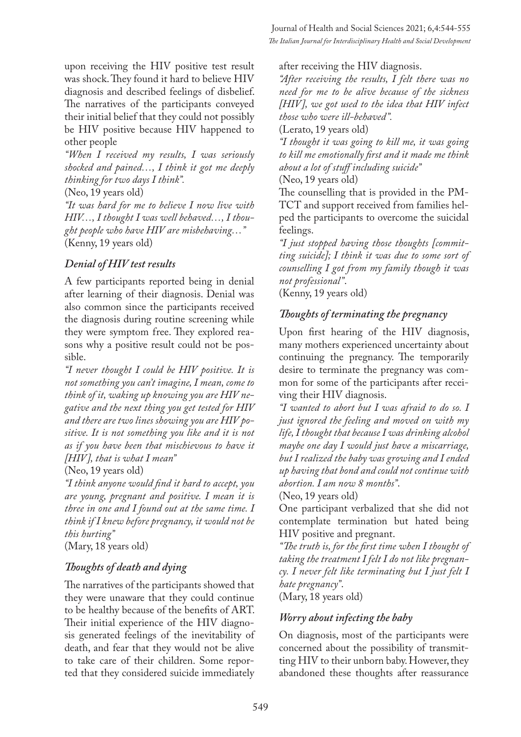upon receiving the HIV positive test result was shock. They found it hard to believe HIV diagnosis and described feelings of disbelief. The narratives of the participants conveyed their initial belief that they could not possibly be HIV positive because HIV happened to other people

*"When I received my results, I was seriously shocked and pained…, I think it got me deeply thinking for two days I think".*

(Neo, 19 years old)

*"It was hard for me to believe I now live with HIV…, I thought I was well behaved…, I thought people who have HIV are misbehaving…"* (Kenny, 19 years old)

### *Denial of HIV test results*

A few participants reported being in denial after learning of their diagnosis. Denial was also common since the participants received the diagnosis during routine screening while they were symptom free. They explored reasons why a positive result could not be possible.

*"I never thought I could be HIV positive. It is not something you can't imagine, I mean, come to think of it, waking up knowing you are HIV negative and the next thing you get tested for HIV and there are two lines showing you are HIV positive. It is not something you like and it is not as if you have been that mischievous to have it [HIV], that is what I mean"*

(Neo, 19 years old)

*"I think anyone would find it hard to accept, you are young, pregnant and positive. I mean it is three in one and I found out at the same time. I think if I knew before pregnancy, it would not be this hurting"* 

(Mary, 18 years old)

# *Thoughts of death and dying*

The narratives of the participants showed that they were unaware that they could continue to be healthy because of the benefits of ART. Their initial experience of the HIV diagnosis generated feelings of the inevitability of death, and fear that they would not be alive to take care of their children. Some reported that they considered suicide immediately

after receiving the HIV diagnosis.

*"After receiving the results, I felt there was no need for me to be alive because of the sickness [HIV], we got used to the idea that HIV infect those who were ill-behaved".*

(Lerato, 19 years old)

*"I thought it was going to kill me, it was going to kill me emotionally first and it made me think about a lot of stuff including suicide"* (Neo, 19 years old)

The counselling that is provided in the PM-TCT and support received from families helped the participants to overcome the suicidal feelings.

*"I just stopped having those thoughts [committing suicide]; I think it was due to some sort of counselling I got from my family though it was not professional"*.

(Kenny, 19 years old)

# *Thoughts of terminating the pregnancy*

Upon first hearing of the HIV diagnosis, many mothers experienced uncertainty about continuing the pregnancy. The temporarily desire to terminate the pregnancy was common for some of the participants after receiving their HIV diagnosis.

*"I wanted to abort but I was afraid to do so. I just ignored the feeling and moved on with my life, I thought that because I was drinking alcohol maybe one day I would just have a miscarriage, but I realized the baby was growing and I ended up having that bond and could not continue with abortion. I am now 8 months"*.

(Neo, 19 years old)

One participant verbalized that she did not contemplate termination but hated being HIV positive and pregnant.

*"The truth is, for the first time when I thought of taking the treatment I felt I do not like pregnancy. I never felt like terminating but I just felt I hate pregnancy"*.

(Mary, 18 years old)

### *Worry about infecting the baby*

On diagnosis, most of the participants were concerned about the possibility of transmitting HIV to their unborn baby. However, they abandoned these thoughts after reassurance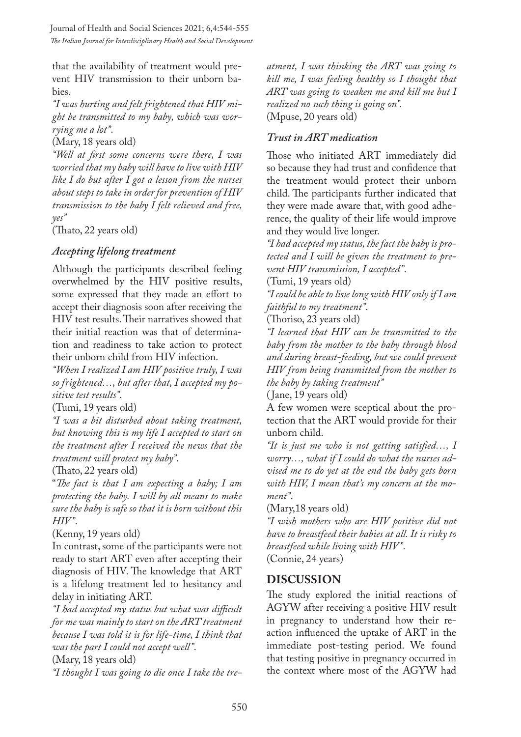that the availability of treatment would prevent HIV transmission to their unborn babies.

*"I was hurting and felt frightened that HIV might be transmitted to my baby, which was worrying me a lot"*.

(Mary, 18 years old)

*"Well at first some concerns were there, I was worried that my baby will have to live with HIV like I do but after I got a lesson from the nurses about steps to take in order for prevention of HIV transmission to the baby I felt relieved and free, yes"*

(Thato, 22 years old)

# *Accepting lifelong treatment*

Although the participants described feeling overwhelmed by the HIV positive results, some expressed that they made an effort to accept their diagnosis soon after receiving the HIV test results. Their narratives showed that their initial reaction was that of determination and readiness to take action to protect their unborn child from HIV infection.

*"When I realized I am HIV positive truly, I was so frightened…, but after that, I accepted my positive test results"*.

(Tumi, 19 years old)

*"I was a bit disturbed about taking treatment, but knowing this is my life I accepted to start on the treatment after I received the news that the treatment will protect my baby"*.

(Thato, 22 years old)

"*The fact is that I am expecting a baby; I am protecting the baby. I will by all means to make sure the baby is safe so that it is born without this HIV"*.

(Kenny, 19 years old)

In contrast, some of the participants were not ready to start ART even after accepting their diagnosis of HIV. The knowledge that ART is a lifelong treatment led to hesitancy and delay in initiating ART.

*"I had accepted my status but what was difficult for me was mainly to start on the ART treatment because I was told it is for life-time, I think that was the part I could not accept well"*.

(Mary, 18 years old)

*"I thought I was going to die once I take the tre-*

*atment, I was thinking the ART was going to kill me, I was feeling healthy so I thought that ART was going to weaken me and kill me but I realized no such thing is going on".* (Mpuse, 20 years old)

### *Trust in ART medication*

Those who initiated ART immediately did so because they had trust and confidence that the treatment would protect their unborn child. The participants further indicated that they were made aware that, with good adherence, the quality of their life would improve and they would live longer.

*"I had accepted my status, the fact the baby is protected and I will be given the treatment to prevent HIV transmission, I accepted"*.

(Tumi, 19 years old)

*"I could be able to live long with HIV only if I am faithful to my treatment"*.

(Thoriso, 23 years old)

*"I learned that HIV can be transmitted to the baby from the mother to the baby through blood and during breast-feeding, but we could prevent HIV from being transmitted from the mother to the baby by taking treatment"*

( Jane, 19 years old)

A few women were sceptical about the protection that the ART would provide for their unborn child.

*"It is just me who is not getting satisfied…, I worry…, what if I could do what the nurses advised me to do yet at the end the baby gets born with HIV, I mean that's my concern at the moment"*.

(Mary,18 years old)

*"I wish mothers who are HIV positive did not have to breastfeed their babies at all. It is risky to breastfeed while living with HIV"*. (Connie, 24 years)

# **DISCUSSION**

The study explored the initial reactions of AGYW after receiving a positive HIV result in pregnancy to understand how their reaction influenced the uptake of ART in the immediate post-testing period. We found that testing positive in pregnancy occurred in the context where most of the AGYW had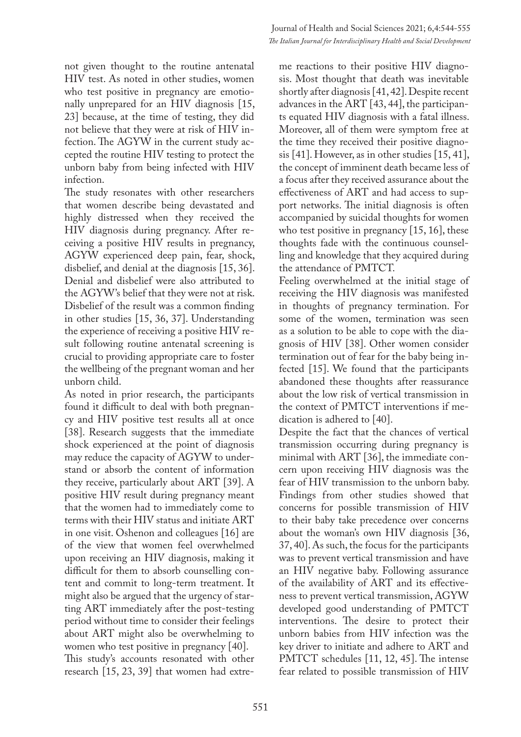not given thought to the routine antenatal HIV test. As noted in other studies, women who test positive in pregnancy are emotionally unprepared for an HIV diagnosis [15, 23] because, at the time of testing, they did not believe that they were at risk of HIV infection. The AGYW in the current study accepted the routine HIV testing to protect the unborn baby from being infected with HIV infection.

The study resonates with other researchers that women describe being devastated and highly distressed when they received the HIV diagnosis during pregnancy. After receiving a positive HIV results in pregnancy, AGYW experienced deep pain, fear, shock, disbelief, and denial at the diagnosis [15, 36]. Denial and disbelief were also attributed to the AGYW's belief that they were not at risk. Disbelief of the result was a common finding in other studies [15, 36, 37]. Understanding the experience of receiving a positive HIV result following routine antenatal screening is crucial to providing appropriate care to foster the wellbeing of the pregnant woman and her unborn child.

As noted in prior research, the participants found it difficult to deal with both pregnancy and HIV positive test results all at once [38]. Research suggests that the immediate shock experienced at the point of diagnosis may reduce the capacity of AGYW to understand or absorb the content of information they receive, particularly about ART [39]. A positive HIV result during pregnancy meant that the women had to immediately come to terms with their HIV status and initiate ART in one visit. Oshenon and colleagues [16] are of the view that women feel overwhelmed upon receiving an HIV diagnosis, making it difficult for them to absorb counselling content and commit to long-term treatment. It might also be argued that the urgency of starting ART immediately after the post-testing period without time to consider their feelings about ART might also be overwhelming to women who test positive in pregnancy [40]. This study's accounts resonated with other research [15, 23, 39] that women had extre-

me reactions to their positive HIV diagnosis. Most thought that death was inevitable shortly after diagnosis [41, 42]. Despite recent advances in the ART [43, 44], the participants equated HIV diagnosis with a fatal illness. Moreover, all of them were symptom free at the time they received their positive diagnosis [41]. However, as in other studies [15, 41], the concept of imminent death became less of a focus after they received assurance about the effectiveness of ART and had access to support networks. The initial diagnosis is often accompanied by suicidal thoughts for women who test positive in pregnancy [15, 16], these thoughts fade with the continuous counselling and knowledge that they acquired during the attendance of PMTCT.

Feeling overwhelmed at the initial stage of receiving the HIV diagnosis was manifested in thoughts of pregnancy termination. For some of the women, termination was seen as a solution to be able to cope with the diagnosis of HIV [38]. Other women consider termination out of fear for the baby being infected [15]. We found that the participants abandoned these thoughts after reassurance about the low risk of vertical transmission in the context of PMTCT interventions if medication is adhered to [40].

Despite the fact that the chances of vertical transmission occurring during pregnancy is minimal with ART [36], the immediate concern upon receiving HIV diagnosis was the fear of HIV transmission to the unborn baby. Findings from other studies showed that concerns for possible transmission of HIV to their baby take precedence over concerns about the woman's own HIV diagnosis [36, 37, 40]. As such, the focus for the participants was to prevent vertical transmission and have an HIV negative baby. Following assurance of the availability of ART and its effectiveness to prevent vertical transmission, AGYW developed good understanding of PMTCT interventions. The desire to protect their unborn babies from HIV infection was the key driver to initiate and adhere to ART and PMTCT schedules [11, 12, 45]. The intense fear related to possible transmission of HIV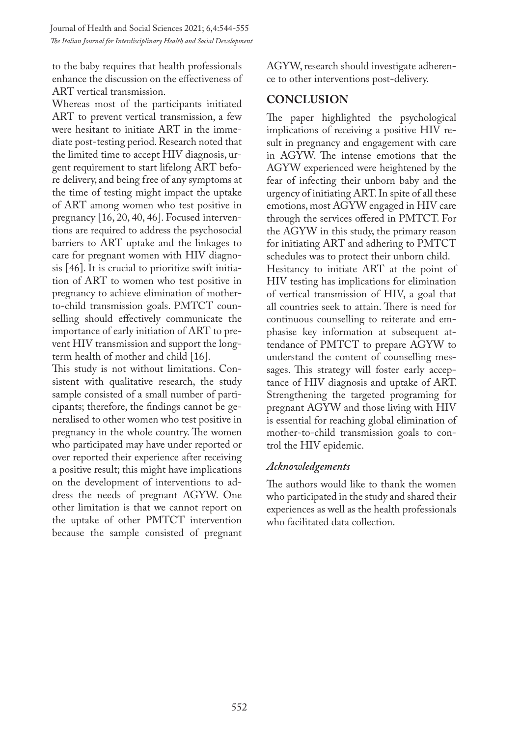Journal of Health and Social Sciences 2021; 6,4:544-555 *The Italian Journal for Interdisciplinary Health and Social Development*

to the baby requires that health professionals enhance the discussion on the effectiveness of ART vertical transmission.

Whereas most of the participants initiated ART to prevent vertical transmission, a few were hesitant to initiate ART in the immediate post-testing period. Research noted that the limited time to accept HIV diagnosis, urgent requirement to start lifelong ART before delivery, and being free of any symptoms at the time of testing might impact the uptake of ART among women who test positive in pregnancy [16, 20, 40, 46]. Focused interventions are required to address the psychosocial barriers to ART uptake and the linkages to care for pregnant women with HIV diagnosis [46]. It is crucial to prioritize swift initiation of ART to women who test positive in pregnancy to achieve elimination of motherto-child transmission goals. PMTCT counselling should effectively communicate the importance of early initiation of ART to prevent HIV transmission and support the longterm health of mother and child [16].

This study is not without limitations. Consistent with qualitative research, the study sample consisted of a small number of participants; therefore, the findings cannot be generalised to other women who test positive in pregnancy in the whole country. The women who participated may have under reported or over reported their experience after receiving a positive result; this might have implications on the development of interventions to address the needs of pregnant AGYW. One other limitation is that we cannot report on the uptake of other PMTCT intervention because the sample consisted of pregnant AGYW, research should investigate adherence to other interventions post-delivery.

### **CONCLUSION**

The paper highlighted the psychological implications of receiving a positive HIV result in pregnancy and engagement with care in AGYW. The intense emotions that the AGYW experienced were heightened by the fear of infecting their unborn baby and the urgency of initiating ART. In spite of all these emotions, most AGYW engaged in HIV care through the services offered in PMTCT. For the AGYW in this study, the primary reason for initiating ART and adhering to PMTCT schedules was to protect their unborn child. Hesitancy to initiate ART at the point of HIV testing has implications for elimination of vertical transmission of HIV, a goal that all countries seek to attain. There is need for continuous counselling to reiterate and emphasise key information at subsequent attendance of PMTCT to prepare AGYW to understand the content of counselling messages. This strategy will foster early acceptance of HIV diagnosis and uptake of ART. Strengthening the targeted programing for pregnant AGYW and those living with HIV is essential for reaching global elimination of mother-to-child transmission goals to control the HIV epidemic.

### *Acknowledgements*

The authors would like to thank the women who participated in the study and shared their experiences as well as the health professionals who facilitated data collection.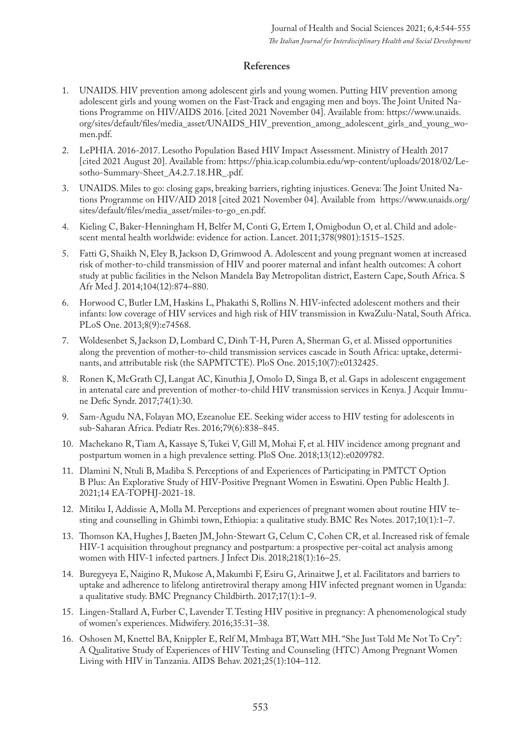### **References**

- 1. UNAIDS. HIV prevention among adolescent girls and young women. Putting HIV prevention among adolescent girls and young women on the Fast-Track and engaging men and boys. The Joint United Nations Programme on HIV/AIDS 2016. [cited 2021 November 04]. Available from: https://www.unaids. org/sites/default/files/media\_asset/UNAIDS\_HIV\_prevention\_among\_adolescent\_girls\_and\_young\_women.pdf.
- 2. LePHIA. 2016-2017. Lesotho Population Based HIV Impact Assessment. Ministry of Health 2017 [cited 2021 August 20]. Available from: https://phia.icap.columbia.edu/wp-content/uploads/2018/02/Lesotho-Summary-Sheet\_A4.2.7.18.HR\_.pdf.
- UNAIDS. Miles to go: closing gaps, breaking barriers, righting injustices. Geneva: The Joint United Nations Programme on HIV/AID 2018 [cited 2021 November 04]. Available from https://www.unaids.org/ sites/default/files/media\_asset/miles-to-go\_en.pdf.
- 4. Kieling C, Baker-Henningham H, Belfer M, Conti G, Ertem I, Omigbodun O, et al. Child and adolescent mental health worldwide: evidence for action. Lancet. 2011;378(9801):1515–1525.
- 5. Fatti G, Shaikh N, Eley B, Jackson D, Grimwood A. Adolescent and young pregnant women at increased risk of mother-to-child transmission of HIV and poorer maternal and infant health outcomes: A cohort study at public facilities in the Nelson Mandela Bay Metropolitan district, Eastern Cape, South Africa. S Afr Med J. 2014;104(12):874–880.
- 6. Horwood C, Butler LM, Haskins L, Phakathi S, Rollins N. HIV-infected adolescent mothers and their infants: low coverage of HIV services and high risk of HIV transmission in KwaZulu-Natal, South Africa. PLoS One. 2013;8(9):e74568.
- 7. Woldesenbet S, Jackson D, Lombard C, Dinh T-H, Puren A, Sherman G, et al. Missed opportunities along the prevention of mother-to-child transmission services cascade in South Africa: uptake, determinants, and attributable risk (the SAPMTCTE). PloS One. 2015;10(7):e0132425.
- 8. Ronen K, McGrath CJ, Langat AC, Kinuthia J, Omolo D, Singa B, et al. Gaps in adolescent engagement in antenatal care and prevention of mother-to-child HIV transmission services in Kenya. J Acquir Immune Defic Syndr. 2017;74(1):30.
- 9. Sam-Agudu NA, Folayan MO, Ezeanolue EE. Seeking wider access to HIV testing for adolescents in sub-Saharan Africa. Pediatr Res. 2016;79(6):838–845.
- 10. Machekano R, Tiam A, Kassaye S, Tukei V, Gill M, Mohai F, et al. HIV incidence among pregnant and postpartum women in a high prevalence setting. PloS One. 2018;13(12):e0209782.
- 11. Dlamini N, Ntuli B, Madiba S. Perceptions of and Experiences of Participating in PMTCT Option B Plus: An Explorative Study of HIV-Positive Pregnant Women in Eswatini. Open Public Health J. 2021;14 EA-TOPHJ-2021-18.
- 12. Mitiku I, Addissie A, Molla M. Perceptions and experiences of pregnant women about routine HIV testing and counselling in Ghimbi town, Ethiopia: a qualitative study. BMC Res Notes. 2017;10(1):1–7.
- 13. Thomson KA, Hughes J, Baeten JM, John-Stewart G, Celum C, Cohen CR, et al. Increased risk of female HIV-1 acquisition throughout pregnancy and postpartum: a prospective per-coital act analysis among women with HIV-1 infected partners. J Infect Dis. 2018;218(1):16–25.
- 14. Buregyeya E, Naigino R, Mukose A, Makumbi F, Esiru G, Arinaitwe J, et al. Facilitators and barriers to uptake and adherence to lifelong antiretroviral therapy among HIV infected pregnant women in Uganda: a qualitative study. BMC Pregnancy Childbirth. 2017;17(1):1–9.
- 15. Lingen-Stallard A, Furber C, Lavender T. Testing HIV positive in pregnancy: A phenomenological study of women's experiences. Midwifery. 2016;35:31–38.
- 16. Oshosen M, Knettel BA, Knippler E, Relf M, Mmbaga BT, Watt MH. "She Just Told Me Not To Cry": A Qualitative Study of Experiences of HIV Testing and Counseling (HTC) Among Pregnant Women Living with HIV in Tanzania. AIDS Behav. 2021;25(1):104–112.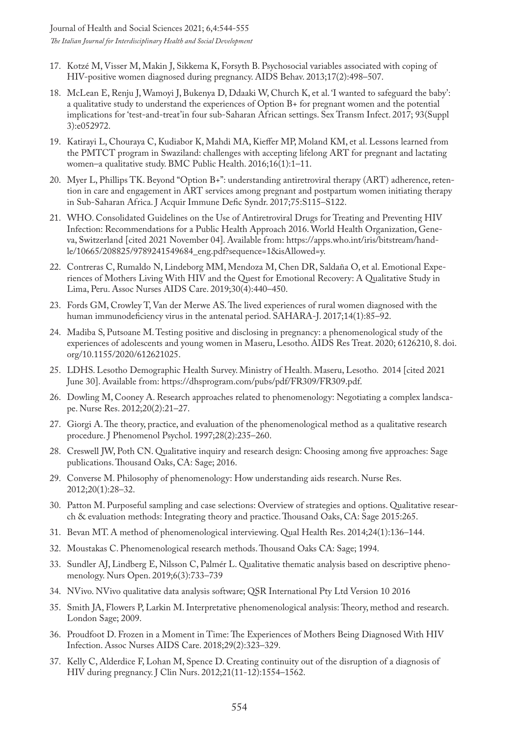- 17. Kotzé M, Visser M, Makin J, Sikkema K, Forsyth B. Psychosocial variables associated with coping of HIV-positive women diagnosed during pregnancy. AIDS Behav. 2013;17(2):498–507.
- 18. McLean E, Renju J, Wamoyi J, Bukenya D, Ddaaki W, Church K, et al. 'I wanted to safeguard the baby': a qualitative study to understand the experiences of Option B+ for pregnant women and the potential implications for 'test-and-treat'in four sub-Saharan African settings. Sex Transm Infect. 2017; 93(Suppl 3):e052972.
- 19. Katirayi L, Chouraya C, Kudiabor K, Mahdi MA, Kieffer MP, Moland KM, et al. Lessons learned from the PMTCT program in Swaziland: challenges with accepting lifelong ART for pregnant and lactating women–a qualitative study. BMC Public Health. 2016;16(1):1–11.
- 20. Myer L, Phillips TK. Beyond "Option B+": understanding antiretroviral therapy (ART) adherence, retention in care and engagement in ART services among pregnant and postpartum women initiating therapy in Sub-Saharan Africa. J Acquir Immune Defic Syndr. 2017;75:S115–S122.
- 21. WHO. Consolidated Guidelines on the Use of Antiretroviral Drugs for Treating and Preventing HIV Infection: Recommendations for a Public Health Approach 2016. World Health Organization, Geneva, Switzerland [cited 2021 November 04]. Available from: https://apps.who.int/iris/bitstream/handle/10665/208825/9789241549684\_eng.pdf?sequence=1&isAllowed=y.
- 22. Contreras C, Rumaldo N, Lindeborg MM, Mendoza M, Chen DR, Saldaña O, et al. Emotional Experiences of Mothers Living With HIV and the Quest for Emotional Recovery: A Qualitative Study in Lima, Peru. Assoc Nurses AIDS Care. 2019;30(4):440–450.
- 23. Fords GM, Crowley T, Van der Merwe AS. The lived experiences of rural women diagnosed with the human immunodeficiency virus in the antenatal period. SAHARA-J. 2017;14(1):85–92.
- 24. Madiba S, Putsoane M. Testing positive and disclosing in pregnancy: a phenomenological study of the experiences of adolescents and young women in Maseru, Lesotho. AIDS Res Treat. 2020; 6126210, 8. doi. org/10.1155/2020/612621025.
- 25. LDHS. Lesotho Demographic Health Survey. Ministry of Health. Maseru, Lesotho. 2014 [cited 2021 June 30]. Available from: https://dhsprogram.com/pubs/pdf/FR309/FR309.pdf.
- 26. Dowling M, Cooney A. Research approaches related to phenomenology: Negotiating a complex landscape. Nurse Res. 2012;20(2):21–27.
- 27. Giorgi A. The theory, practice, and evaluation of the phenomenological method as a qualitative research procedure. J Phenomenol Psychol. 1997;28(2):235–260.
- 28. Creswell JW, Poth CN. Qualitative inquiry and research design: Choosing among five approaches: Sage publications. Thousand Oaks, CA: Sage; 2016.
- 29. Converse M. Philosophy of phenomenology: How understanding aids research. Nurse Res. 2012;20(1):28–32.
- 30. Patton M. Purposeful sampling and case selections: Overview of strategies and options. Qualitative research & evaluation methods: Integrating theory and practice. Thousand Oaks, CA: Sage 2015:265.
- 31. Bevan MT. A method of phenomenological interviewing. Qual Health Res. 2014;24(1):136–144.
- 32. Moustakas C. Phenomenological research methods. Thousand Oaks CA: Sage; 1994.
- 33. Sundler AJ, Lindberg E, Nilsson C, Palmér L. Qualitative thematic analysis based on descriptive phenomenology. Nurs Open. 2019;6(3):733–739
- 34. NVivo. NVivo qualitative data analysis software; QSR International Pty Ltd Version 10 2016
- 35. Smith JA, Flowers P, Larkin M. Interpretative phenomenological analysis: Theory, method and research. London Sage; 2009.
- 36. Proudfoot D. Frozen in a Moment in Time: The Experiences of Mothers Being Diagnosed With HIV Infection. Assoc Nurses AIDS Care. 2018;29(2):323–329.
- 37. Kelly C, Alderdice F, Lohan M, Spence D. Creating continuity out of the disruption of a diagnosis of HIV during pregnancy. J Clin Nurs. 2012;21(11-12):1554–1562.